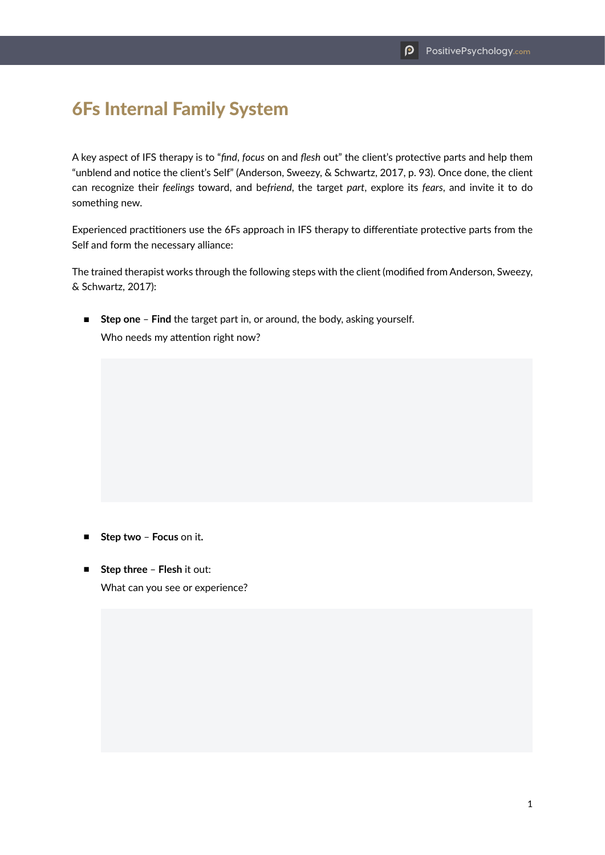## 6Fs Internal Family System

A key aspect of IFS therapy is to "*find*, *focus* on and *flesh* out" the client's protective parts and help them "unblend and notice the client's Self" (Anderson, Sweezy, & Schwartz, 2017, p. 93). Once done, the client can recognize their *feelings* toward, and be*friend*, the target *part*, explore its *fears*, and invite it to do something new.

Experienced practitioners use the 6Fs approach in IFS therapy to differentiate protective parts from the Self and form the necessary alliance:

The trained therapist works through the following steps with the client (modified from Anderson, Sweezy, & Schwartz, 2017):

■ **Step one** – **Find** the target part in, or around, the body, asking yourself. Who needs my attention right now?

- **Step two Focus** on it**.**
- **Step three Flesh** it out: What can you see or experience?